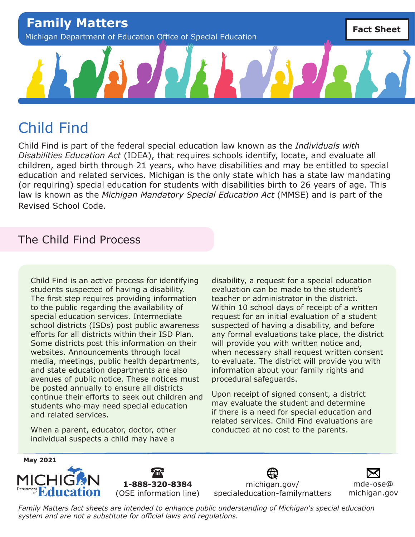

# Child Find

Child Find is part of the federal special education law known as the *Individuals with Disabilities Education Act* (IDEA), that requires schools identify, locate, and evaluate all children, aged birth through 21 years, who have disabilities and may be entitled to special education and related services. Michigan is the only state which has a state law mandating (or requiring) special education for students with disabilities birth to 26 years of age. This law is known as the *Michigan Mandatory Special Education Act* (MMSE) and is part of the Revised School Code.

## The Child Find Process

Child Find is an active process for identifying students suspected of having a disability. The first step requires providing information to the public regarding the availability of special education services. Intermediate school districts (ISDs) post public awareness efforts for all districts within their ISD Plan. Some districts post this information on their websites. Announcements through local media, meetings, public health departments, and state education departments are also avenues of public notice. These notices must be posted annually to ensure all districts continue their efforts to seek out children and students who may need special education and related services.

When a parent, educator, doctor, other individual suspects a child may have a

disability, a request for a special education evaluation can be made to the student's teacher or administrator in the district. Within 10 school days of receipt of a written request for an initial evaluation of a student suspected of having a disability, and before any formal evaluations take place, the district will provide you with written notice and, when necessary shall request written consent to evaluate. The district will provide you with information about your family rights and procedural safeguards.

Upon receipt of signed consent, a district may evaluate the student and determine if there is a need for special education and related services. Child Find evaluations are conducted at no cost to the parents.





[michigan.gov/](http://michigan.gov/specialeducation-familymatters) [specialeducation-familymatters](http://michigan.gov/specialeducation-familymatters)

[mde-ose@](mailto:mde-ose%40michigan.gov?subject=) [michigan.gov](mailto:mde-ose%40michigan.gov?subject=)

*Family Matters fact sheets are intended to enhance public understanding of Michigan's special education system and are not a substitute for official laws and regulations.*